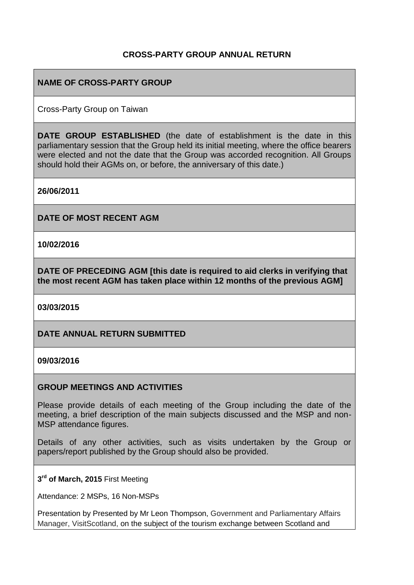### **CROSS-PARTY GROUP ANNUAL RETURN**

### **NAME OF CROSS-PARTY GROUP**

Cross-Party Group on Taiwan

**DATE GROUP ESTABLISHED** (the date of establishment is the date in this parliamentary session that the Group held its initial meeting, where the office bearers were elected and not the date that the Group was accorded recognition. All Groups should hold their AGMs on, or before, the anniversary of this date.)

**26/06/2011**

**DATE OF MOST RECENT AGM**

**10/02/2016**

**DATE OF PRECEDING AGM [this date is required to aid clerks in verifying that the most recent AGM has taken place within 12 months of the previous AGM]**

**03/03/2015**

### **DATE ANNUAL RETURN SUBMITTED**

#### **09/03/2016**

#### **GROUP MEETINGS AND ACTIVITIES**

Please provide details of each meeting of the Group including the date of the meeting, a brief description of the main subjects discussed and the MSP and non-MSP attendance figures.

Details of any other activities, such as visits undertaken by the Group or papers/report published by the Group should also be provided.

**3 rd of March, 2015** First Meeting

Attendance: 2 MSPs, 16 Non-MSPs

Presentation by Presented by Mr Leon Thompson, Government and Parliamentary Affairs Manager, VisitScotland, on the subject of the tourism exchange between Scotland and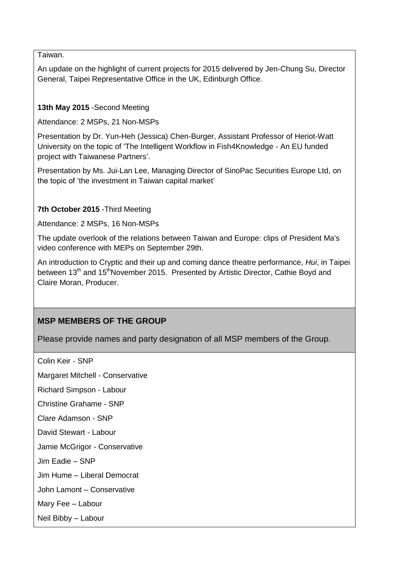Taiwan.

An update on the highlight of current projects for 2015 delivered by Jen-Chung Su, Director General, Taipei Representative Office in the UK, Edinburgh Office.

### **13th May 2015** -Second Meeting

Attendance: 2 MSPs, 21 Non-MSPs

Presentation by Dr. Yun-Heh (Jessica) Chen-Burger, Assistant Professor of Heriot-Watt University on the topic of 'The Intelligent Workflow in Fish4Knowledge - An EU funded project with Taiwanese Partners'.

Presentation by Ms. Jui-Lan Lee, Managing Director of SinoPac Securities Europe Ltd, on the topic of 'the investment in Taiwan capital market'

#### **7th October 2015** -Third Meeting

Attendance: 2 MSPs, 16 Non-MSPs

The update overlook of the relations between Taiwan and Europe: clips of President Ma's video conference with MEPs on September 29th.

An introduction to Cryptic and their up and coming dance theatre performance, *Hui*, in Taipei between 13<sup>th</sup> and 15<sup>th</sup>November 2015. Presented by Artistic Director, Cathie Boyd and Claire Moran, Producer.

# **MSP MEMBERS OF THE GROUP**

Please provide names and party designation of all MSP members of the Group.

Colin Keir - SNP

Margaret Mitchell - Conservative

Richard Simpson - Labour

Christine Grahame - SNP

Clare Adamson - SNP

David Stewart - Labour

Jamie McGrigor - Conservative

Jim Eadie – SNP

Jim Hume – Liberal Democrat

John Lamont – Conservative

Mary Fee – Labour

Neil Bibby – Labour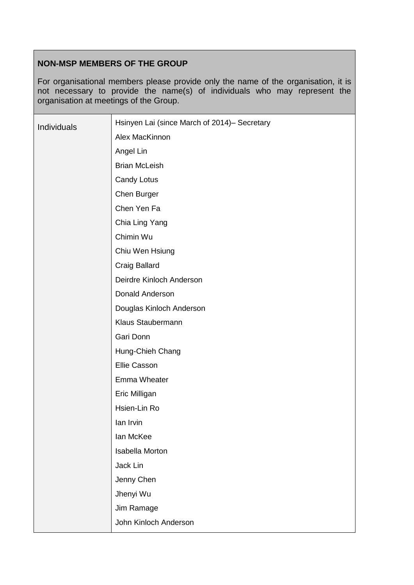# **NON-MSP MEMBERS OF THE GROUP**

For organisational members please provide only the name of the organisation, it is not necessary to provide the name(s) of individuals who may represent the organisation at meetings of the Group.

| Individuals | Hsinyen Lai (since March of 2014)- Secretary |
|-------------|----------------------------------------------|
|             | Alex MacKinnon                               |
|             | Angel Lin                                    |
|             | <b>Brian McLeish</b>                         |
|             | <b>Candy Lotus</b>                           |
|             | Chen Burger                                  |
|             | Chen Yen Fa                                  |
|             | Chia Ling Yang                               |
|             | Chimin Wu                                    |
|             | Chiu Wen Hsiung                              |
|             | Craig Ballard                                |
|             | Deirdre Kinloch Anderson                     |
|             | Donald Anderson                              |
|             | Douglas Kinloch Anderson                     |
|             | Klaus Staubermann                            |
|             | Gari Donn                                    |
|             | Hung-Chieh Chang                             |
|             | Ellie Casson                                 |
|             | Emma Wheater                                 |
|             | Eric Milligan                                |
|             | Hsien-Lin Ro                                 |
|             | lan Irvin                                    |
|             | lan McKee                                    |
|             | Isabella Morton                              |
|             | Jack Lin                                     |
|             | Jenny Chen                                   |
|             | Jhenyi Wu                                    |
|             | Jim Ramage                                   |
|             | John Kinloch Anderson                        |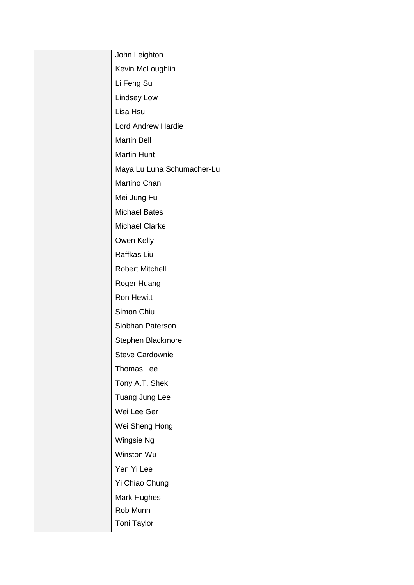| John Leighton              |
|----------------------------|
| Kevin McLoughlin           |
| Li Feng Su                 |
| Lindsey Low                |
| Lisa Hsu                   |
| <b>Lord Andrew Hardie</b>  |
| <b>Martin Bell</b>         |
| <b>Martin Hunt</b>         |
| Maya Lu Luna Schumacher-Lu |
| Martino Chan               |
| Mei Jung Fu                |
| <b>Michael Bates</b>       |
| <b>Michael Clarke</b>      |
| Owen Kelly                 |
| Raffkas Liu                |
| <b>Robert Mitchell</b>     |
| Roger Huang                |
| Ron Hewitt                 |
| Simon Chiu                 |
| Siobhan Paterson           |
| Stephen Blackmore          |
| <b>Steve Cardownie</b>     |
| Thomas Lee                 |
| Tony A.T. Shek             |
| Tuang Jung Lee             |
| Wei Lee Ger                |
| Wei Sheng Hong             |
| Wingsie Ng                 |
| Winston Wu                 |
| Yen Yi Lee                 |
| Yi Chiao Chung             |
| Mark Hughes                |
| Rob Munn                   |
| Toni Taylor                |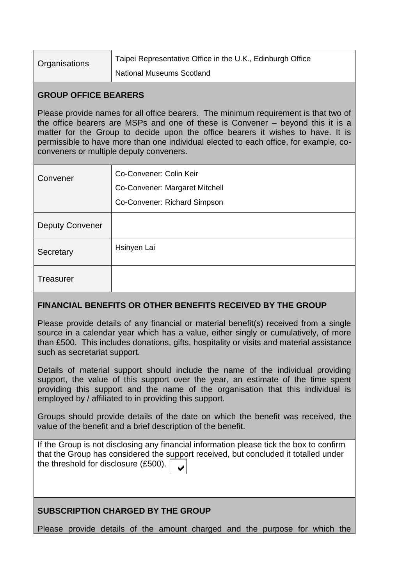| Organisations | Taipei Representative Office in the U.K., Edinburgh Office |
|---------------|------------------------------------------------------------|
|               | National Museums Scotland                                  |

### **GROUP OFFICE BEARERS**

Please provide names for all office bearers. The minimum requirement is that two of the office bearers are MSPs and one of these is Convener – beyond this it is a matter for the Group to decide upon the office bearers it wishes to have. It is permissible to have more than one individual elected to each office, for example, coconveners or multiple deputy conveners.

| Convener               | Co-Convener: Colin Keir        |
|------------------------|--------------------------------|
|                        | Co-Convener: Margaret Mitchell |
|                        | Co-Convener: Richard Simpson   |
| <b>Deputy Convener</b> |                                |
| Secretary              | Hsinyen Lai                    |
| <b>Treasurer</b>       |                                |

# **FINANCIAL BENEFITS OR OTHER BENEFITS RECEIVED BY THE GROUP**

Please provide details of any financial or material benefit(s) received from a single source in a calendar year which has a value, either singly or cumulatively, of more than £500. This includes donations, gifts, hospitality or visits and material assistance such as secretariat support.

Details of material support should include the name of the individual providing support, the value of this support over the year, an estimate of the time spent providing this support and the name of the organisation that this individual is employed by / affiliated to in providing this support.

Groups should provide details of the date on which the benefit was received, the value of the benefit and a brief description of the benefit.

If the Group is not disclosing any financial information please tick the box to confirm that the Group has considered the support received, but concluded it totalled under the threshold for disclosure (£500).  $\vee$ 

# **SUBSCRIPTION CHARGED BY THE GROUP**

Please provide details of the amount charged and the purpose for which the